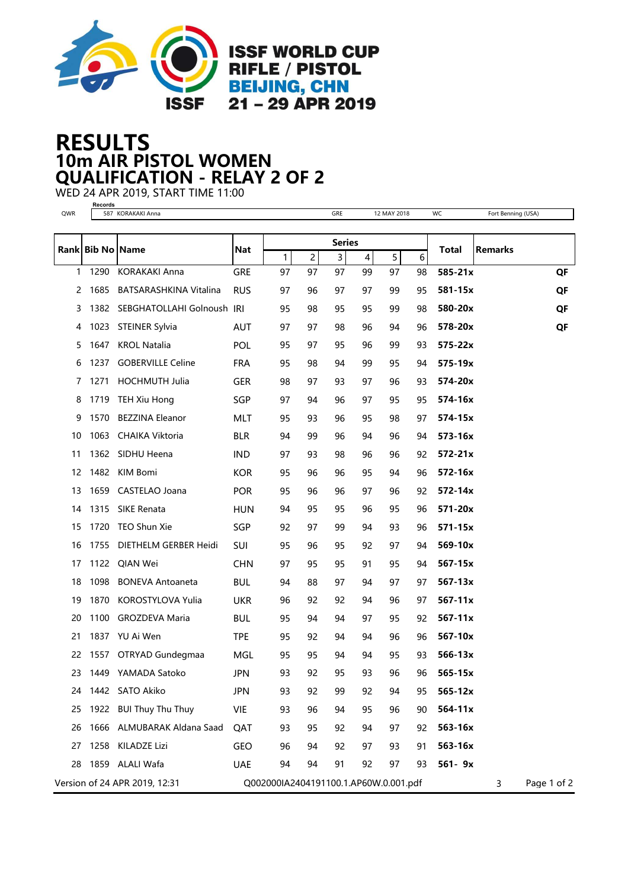

## 10m AIR PISTOL WOMEN RESULTS QUALIFICATION - RELAY 2 OF 2

WED 24 APR 2019, START TIME 11:00 **Records**

| QWR |                  | 587 KORAKAKI Anna               |            |                                       |    | GRE                     |                                               | 12 MAY 2018 |    | WC           | Fort Benning (USA) |             |
|-----|------------------|---------------------------------|------------|---------------------------------------|----|-------------------------|-----------------------------------------------|-------------|----|--------------|--------------------|-------------|
|     |                  |                                 |            |                                       |    |                         |                                               |             |    |              |                    |             |
|     | Rank Bib No Name |                                 | <b>Nat</b> | 1                                     | 2  | $\overline{\mathbf{3}}$ | <b>Series</b><br>5<br>$\overline{\mathbf{4}}$ |             | 6  | <b>Total</b> | <b>Remarks</b>     |             |
| 1   | 1290             | <b>KORAKAKI Anna</b>            | <b>GRE</b> | 97                                    | 97 | 97                      | 99                                            | 97          | 98 | 585-21x      |                    | QF          |
| 2   | 1685             | <b>BATSARASHKINA Vitalina</b>   | <b>RUS</b> | 97                                    | 96 | 97                      | 97                                            | 99          | 95 | 581-15x      |                    | QF          |
| 3   |                  | 1382 SEBGHATOLLAHI Golnoush IRI |            | 95                                    | 98 | 95                      | 95                                            | 99          | 98 | 580-20x      |                    | QF          |
| 4   |                  | 1023 STEINER Sylvia             | AUT        | 97                                    | 97 | 98                      | 96                                            | 94          | 96 | 578-20x      |                    | QF          |
| 5   | 1647             | <b>KROL Natalia</b>             | <b>POL</b> | 95                                    | 97 | 95                      | 96                                            | 99          | 93 | $575 - 22x$  |                    |             |
| 6   | 1237             | <b>GOBERVILLE Celine</b>        | <b>FRA</b> | 95                                    | 98 | 94                      | 99                                            | 95          | 94 | 575-19x      |                    |             |
| 7   | 1271             | <b>HOCHMUTH Julia</b>           | <b>GER</b> | 98                                    | 97 | 93                      | 97                                            | 96          | 93 | 574-20x      |                    |             |
| 8   | 1719             | TEH Xiu Hong                    | SGP        | 97                                    | 94 | 96                      | 97                                            | 95          | 95 | 574-16x      |                    |             |
| 9   | 1570             | <b>BEZZINA Eleanor</b>          | MLT        | 95                                    | 93 | 96                      | 95                                            | 98          | 97 | 574-15x      |                    |             |
| 10  | 1063             | CHAIKA Viktoria                 | <b>BLR</b> | 94                                    | 99 | 96                      | 94                                            | 96          | 94 | 573-16x      |                    |             |
| 11  |                  | 1362 SIDHU Heena                | <b>IND</b> | 97                                    | 93 | 98                      | 96                                            | 96          | 92 | $572 - 21x$  |                    |             |
| 12  |                  | 1482 KIM Bomi                   | <b>KOR</b> | 95                                    | 96 | 96                      | 95                                            | 94          | 96 | 572-16x      |                    |             |
| 13  |                  | 1659 CASTELAO Joana             | <b>POR</b> | 95                                    | 96 | 96                      | 97                                            | 96          | 92 | 572-14x      |                    |             |
| 14  |                  | 1315 SIKE Renata                | <b>HUN</b> | 94                                    | 95 | 95                      | 96                                            | 95          | 96 | 571-20x      |                    |             |
| 15  | 1720             | TEO Shun Xie                    | SGP        | 92                                    | 97 | 99                      | 94                                            | 93          | 96 | 571-15x      |                    |             |
| 16  | 1755             | DIETHELM GERBER Heidi           | SUI        | 95                                    | 96 | 95                      | 92                                            | 97          | 94 | 569-10x      |                    |             |
| 17  |                  | 1122 QIAN Wei                   | <b>CHN</b> | 97                                    | 95 | 95                      | 91                                            | 95          | 94 | 567-15x      |                    |             |
| 18  | 1098             | <b>BONEVA Antoaneta</b>         | <b>BUL</b> | 94                                    | 88 | 97                      | 94                                            | 97          | 97 | 567-13x      |                    |             |
| 19  | 1870             | KOROSTYLOVA Yulia               | <b>UKR</b> | 96                                    | 92 | 92                      | 94                                            | 96          | 97 | 567-11x      |                    |             |
| 20  | 1100             | <b>GROZDEVA Maria</b>           | <b>BUL</b> | 95                                    | 94 | 94                      | 97                                            | 95          | 92 | $567 - 11x$  |                    |             |
| 21  |                  | 1837 YU Ai Wen                  | <b>TPE</b> | 95                                    | 92 | 94                      | 94                                            | 96          | 96 | 567-10x      |                    |             |
| 22  |                  | 1557 OTRYAD Gundegmaa           | MGL        | 95                                    | 95 | 94                      | 94                                            | 95          | 93 | $566 - 13x$  |                    |             |
| 23  |                  | 1449 YAMADA Satoko              | <b>JPN</b> | 93                                    | 92 | 95                      | 93                                            | 96          | 96 | 565-15x      |                    |             |
|     |                  | 24 1442 SATO Akiko              | <b>JPN</b> | 93                                    | 92 | 99                      | 92                                            | 94          | 95 | 565-12x      |                    |             |
| 25  |                  | 1922 BUI Thuy Thu Thuy          | VIE        | 93                                    | 96 | 94                      | 95                                            | 96          | 90 | $564 - 11x$  |                    |             |
| 26  |                  | 1666 ALMUBARAK Aldana Saad      | QAT        | 93                                    | 95 | 92                      | 94                                            | 97          | 92 | 563-16x      |                    |             |
| 27  |                  | 1258 KILADZE Lizi               | GEO        | 96                                    | 94 | 92                      | 97                                            | 93          | 91 | 563-16x      |                    |             |
| 28  |                  | 1859 ALALI Wafa                 | <b>UAE</b> | 94                                    | 94 | 91                      | 92                                            | 97          | 93 | 561-9x       |                    |             |
|     |                  | Version of 24 APR 2019, 12:31   |            | Q002000IA2404191100.1.AP60W.0.001.pdf |    |                         |                                               |             |    |              | 3                  | Page 1 of 2 |